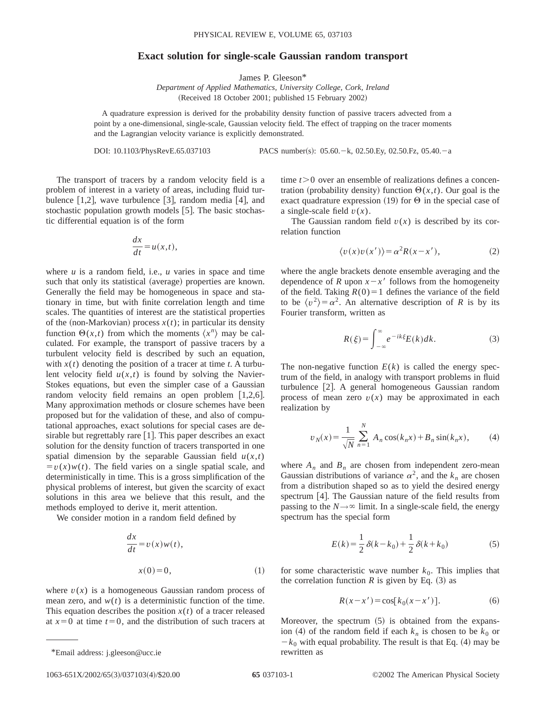## **Exact solution for single-scale Gaussian random transport**

James P. Gleeson\*

*Department of Applied Mathematics, University College, Cork, Ireland* (Received 18 October 2001; published 15 February 2002)

A quadrature expression is derived for the probability density function of passive tracers advected from a point by a one-dimensional, single-scale, Gaussian velocity field. The effect of trapping on the tracer moments and the Lagrangian velocity variance is explicitly demonstrated.

DOI: 10.1103/PhysRevE.65.037103 PACS number(s): 05.60. - k, 02.50.Ey, 02.50.Fz, 05.40. - a

The transport of tracers by a random velocity field is a problem of interest in a variety of areas, including fluid turbulence  $[1,2]$ , wave turbulence  $[3]$ , random media  $[4]$ , and stochastic population growth models [5]. The basic stochastic differential equation is of the form

$$
\frac{dx}{dt} = u(x,t),
$$

where  $u$  is a random field, i.e.,  $u$  varies in space and time such that only its statistical (average) properties are known. Generally the field may be homogeneous in space and stationary in time, but with finite correlation length and time scales. The quantities of interest are the statistical properties of the (non-Markovian) process  $x(t)$ ; in particular its density function  $\Theta(x,t)$  from which the moments  $\langle x^n \rangle$  may be calculated. For example, the transport of passive tracers by a turbulent velocity field is described by such an equation, with  $x(t)$  denoting the position of a tracer at time *t*. A turbulent velocity field  $u(x,t)$  is found by solving the Navier-Stokes equations, but even the simpler case of a Gaussian random velocity field remains an open problem  $[1,2,6]$ . Many approximation methods or closure schemes have been proposed but for the validation of these, and also of computational approaches, exact solutions for special cases are desirable but regrettably rare  $[1]$ . This paper describes an exact solution for the density function of tracers transported in one spatial dimension by the separable Gaussian field  $u(x,t)$  $= v(x)w(t)$ . The field varies on a single spatial scale, and deterministically in time. This is a gross simplification of the physical problems of interest, but given the scarcity of exact solutions in this area we believe that this result, and the methods employed to derive it, merit attention.

We consider motion in a random field defined by

$$
\frac{dx}{dt} = v(x)w(t),
$$
  

$$
x(0) = 0,
$$
 (1)

where  $v(x)$  is a homogeneous Gaussian random process of mean zero, and  $w(t)$  is a deterministic function of the time. This equation describes the position  $x(t)$  of a tracer released at  $x=0$  at time  $t=0$ , and the distribution of such tracers at time  $t > 0$  over an ensemble of realizations defines a concentration (probability density) function  $\Theta(x,t)$ . Our goal is the exact quadrature expression (19) for  $\Theta$  in the special case of a single-scale field  $v(x)$ .

The Gaussian random field  $v(x)$  is described by its correlation function

$$
\langle v(x)v(x')\rangle = \alpha^2 R(x - x'),\tag{2}
$$

where the angle brackets denote ensemble averaging and the dependence of *R* upon  $x - x'$  follows from the homogeneity of the field. Taking  $R(0)=1$  defines the variance of the field to be  $\langle v^2 \rangle = \alpha^2$ . An alternative description of *R* is by its Fourier transform, written as

$$
R(\xi) = \int_{-\infty}^{\infty} e^{-ik\xi} E(k) dk.
$$
 (3)

The non-negative function  $E(k)$  is called the energy spectrum of the field, in analogy with transport problems in fluid turbulence [2]. A general homogeneous Gaussian random process of mean zero  $v(x)$  may be approximated in each realization by

$$
v_N(x) = \frac{1}{\sqrt{N}} \sum_{n=1}^{N} A_n \cos(k_n x) + B_n \sin(k_n x),
$$
 (4)

where  $A_n$  and  $B_n$  are chosen from independent zero-mean Gaussian distributions of variance  $\alpha^2$ , and the  $k_n$  are chosen from a distribution shaped so as to yield the desired energy spectrum  $[4]$ . The Gaussian nature of the field results from passing to the  $N \rightarrow \infty$  limit. In a single-scale field, the energy spectrum has the special form

$$
E(k) = \frac{1}{2}\delta(k - k_0) + \frac{1}{2}\delta(k + k_0)
$$
 (5)

for some characteristic wave number  $k_0$ . This implies that the correlation function *R* is given by Eq.  $(3)$  as

$$
R(x - x') = \cos[k_0(x - x')].
$$
 (6)

Moreover, the spectrum  $(5)$  is obtained from the expansion (4) of the random field if each  $k_n$  is chosen to be  $k_0$  or  $-k_0$  with equal probability. The result is that Eq. (4) may be rewritten as

<sup>\*</sup>Email address: j.gleeson@ucc.ie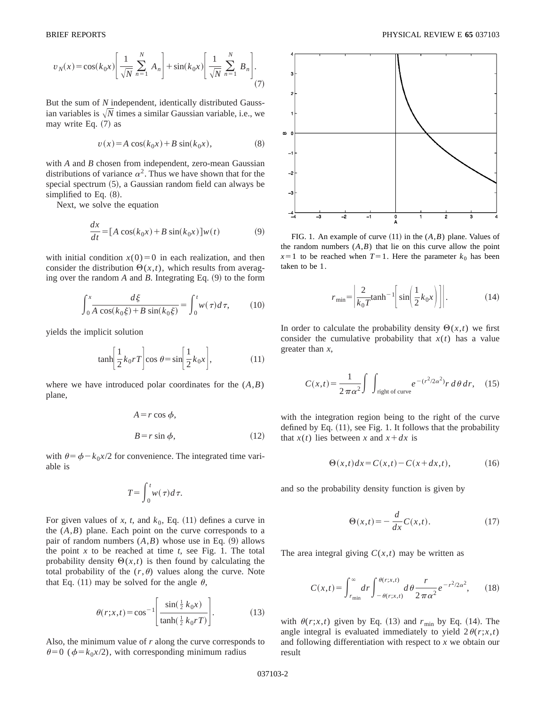$$
v_N(x) = \cos(k_0 x) \left[ \frac{1}{\sqrt{N}} \sum_{n=1}^N A_n \right] + \sin(k_0 x) \left[ \frac{1}{\sqrt{N}} \sum_{n=1}^N B_n \right].
$$
\n(7)

But the sum of *N* independent, identically distributed Gaussian variables is  $\sqrt{N}$  times a similar Gaussian variable, i.e., we may write Eq.  $(7)$  as

$$
v(x) = A \cos(k_0 x) + B \sin(k_0 x),
$$
 (8)

with *A* and *B* chosen from independent, zero-mean Gaussian distributions of variance  $\alpha^2$ . Thus we have shown that for the special spectrum  $(5)$ , a Gaussian random field can always be simplified to Eq.  $(8)$ .

Next, we solve the equation

$$
\frac{dx}{dt} = [A\cos(k_0x) + B\sin(k_0x)]w(t)
$$
 (9)

with initial condition  $x(0)=0$  in each realization, and then consider the distribution  $\Theta(x,t)$ , which results from averaging over the random  $A$  and  $B$ . Integrating Eq.  $(9)$  to the form

$$
\int_0^x \frac{d\xi}{A\cos(k_0\xi) + B\sin(k_0\xi)} = \int_0^t w(\tau)d\tau,
$$
 (10)

yields the implicit solution

$$
\tanh\left[\frac{1}{2}k_0rT\right]\cos\theta = \sin\left[\frac{1}{2}k_0x\right],\tag{11}
$$

where we have introduced polar coordinates for the (*A*,*B*) plane,

$$
A = r \cos \phi,
$$
  
\n
$$
B = r \sin \phi,
$$
 (12)

with  $\theta = \phi - k_0 x/2$  for convenience. The integrated time variable is

$$
T = \int_0^t w(\tau) d\tau.
$$

For given values of *x*, *t*, and  $k_0$ , Eq. (11) defines a curve in the  $(A,B)$  plane. Each point on the curve corresponds to a pair of random numbers  $(A,B)$  whose use in Eq.  $(9)$  allows the point  $x$  to be reached at time  $t$ , see Fig. 1. The total probability density  $\Theta(x,t)$  is then found by calculating the total probability of the  $(r, \theta)$  values along the curve. Note that Eq. (11) may be solved for the angle  $\theta$ ,

$$
\theta(r; x, t) = \cos^{-1} \left[ \frac{\sin(\frac{1}{2}k_0 x)}{\tanh(\frac{1}{2}k_0 r)} \right].
$$
 (13)

Also, the minimum value of *r* along the curve corresponds to  $\theta$ =0 ( $\phi$ = $k_0x/2$ ), with corresponding minimum radius



FIG. 1. An example of curve  $(11)$  in the  $(A,B)$  plane. Values of the random numbers  $(A,B)$  that lie on this curve allow the point  $x=1$  to be reached when  $T=1$ . Here the parameter  $k_0$  has been taken to be 1.

$$
r_{\min} = \left| \frac{2}{k_0 T} \tanh^{-1} \left[ \sin \left( \frac{1}{2} k_0 x \right) \right] \right|.
$$
 (14)

In order to calculate the probability density  $\Theta(x,t)$  we first consider the cumulative probability that  $x(t)$  has a value greater than *x*,

$$
C(x,t) = \frac{1}{2\pi\alpha^2} \int \int_{\text{right of curve}} e^{-(r^2/2\alpha^2)} r \, d\theta \, dr, \quad (15)
$$

with the integration region being to the right of the curve defined by Eq.  $(11)$ , see Fig. 1. It follows that the probability that  $x(t)$  lies between x and  $x + dx$  is

$$
\Theta(x,t)dx = C(x,t) - C(x+dx,t),\tag{16}
$$

and so the probability density function is given by

$$
\Theta(x,t) = -\frac{d}{dx}C(x,t). \tag{17}
$$

The area integral giving  $C(x,t)$  may be written as

$$
C(x,t) = \int_{r_{\rm min}}^{\infty} dr \int_{-\theta(r;x,t)}^{\theta(r;x,t)} d\theta \frac{r}{2\pi\alpha^2} e^{-r^2/2\alpha^2},\qquad(18)
$$

with  $\theta(r; x, t)$  given by Eq. (13) and  $r_{\min}$  by Eq. (14). The angle integral is evaluated immediately to yield  $2\theta(r;x,t)$ and following differentiation with respect to *x* we obtain our result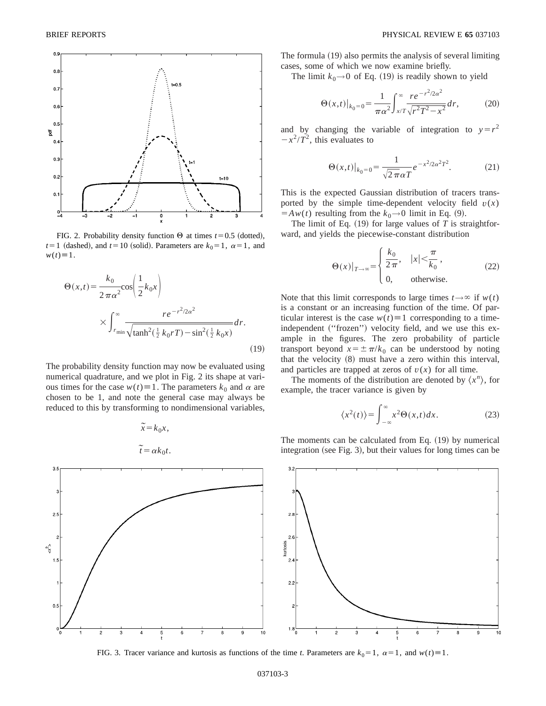

FIG. 2. Probability density function  $\Theta$  at times *t* = 0.5 (dotted),  $t=1$  (dashed), and  $t=10$  (solid). Parameters are  $k_0=1$ ,  $\alpha=1$ , and  $w(t)\equiv 1$ .

$$
\Theta(x,t) = \frac{k_0}{2\pi\alpha^2} \cos\left(\frac{1}{2}k_0x\right)
$$

$$
\times \int_{r_{\text{min}}}^{\infty} \frac{re^{-r^2/2\alpha^2}}{\sqrt{\tanh^2(\frac{1}{2}k_0rT) - \sin^2(\frac{1}{2}k_0x)}} dr.
$$
\n(19)

The probability density function may now be evaluated using numerical quadrature, and we plot in Fig. 2 its shape at various times for the case  $w(t) \equiv 1$ . The parameters  $k_0$  and  $\alpha$  are chosen to be 1, and note the general case may always be reduced to this by transforming to nondimensional variables,



$$
\widetilde{x} = k_0 x,
$$

$$
\widetilde{t} = \alpha k_0 t.
$$

The formula (19) also permits the analysis of several limiting cases, some of which we now examine briefly.

The limit  $k_0 \rightarrow 0$  of Eq. (19) is readily shown to yield

$$
\Theta(x,t)|_{k_0=0} = \frac{1}{\pi \alpha^2} \int_{x/T}^{\infty} \frac{re^{-r^2/2\alpha^2}}{\sqrt{r^2 T^2 - x^2}} dr,\tag{20}
$$

and by changing the variable of integration to  $y = r^2$  $-x^2/T^2$ , this evaluates to

$$
\Theta(x,t)|_{k_0=0} = \frac{1}{\sqrt{2\pi}\alpha T} e^{-x^2/2\alpha^2 T^2}.
$$
 (21)

This is the expected Gaussian distribution of tracers transported by the simple time-dependent velocity field  $v(x)$  $= A w(t)$  resulting from the  $k_0 \rightarrow 0$  limit in Eq. (9).

The limit of Eq.  $(19)$  for large values of *T* is straightforward, and yields the piecewise-constant distribution

$$
\Theta(x)|_{T \to \infty} = \begin{cases} \frac{k_0}{2\pi}, & |x| < \frac{\pi}{k_0}, \\ 0, & \text{otherwise.} \end{cases}
$$
 (22)

Note that this limit corresponds to large times  $t \rightarrow \infty$  if  $w(t)$ is a constant or an increasing function of the time. Of particular interest is the case  $w(t) \equiv 1$  corresponding to a timeindependent ("frozen") velocity field, and we use this example in the figures. The zero probability of particle transport beyond  $x = \pm \pi/k_0$  can be understood by noting that the velocity  $(8)$  must have a zero within this interval, and particles are trapped at zeros of  $v(x)$  for all time.

The moments of the distribution are denoted by  $\langle x^n \rangle$ , for example, the tracer variance is given by

$$
\langle x^2(t) \rangle = \int_{-\infty}^{\infty} x^2 \Theta(x, t) dx.
$$
 (23)

The moments can be calculated from Eq.  $(19)$  by numerical integration (see Fig. 3), but their values for long times can be



FIG. 3. Tracer variance and kurtosis as functions of the time *t*. Parameters are  $k_0 = 1$ ,  $\alpha = 1$ , and  $w(t) = 1$ .